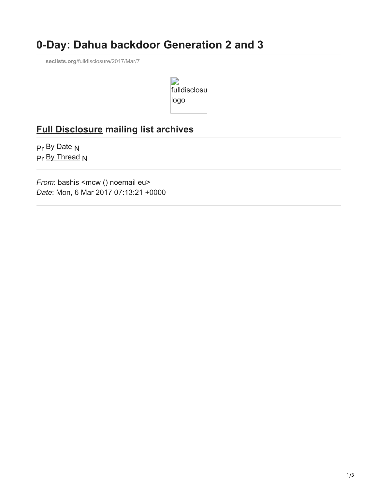## **0-Day: Dahua backdoor Generation 2 and 3**

**seclists.org**[/fulldisclosure/2017/Mar/7](http://seclists.org/fulldisclosure/2017/Mar/7)



## **[Full Disclosure](http://seclists.org/fulldisclosure/) mailing list archives**

[Pr](http://seclists.org/fulldisclosure/2017/Mar/6) [By Date](http://seclists.org/fulldisclosure/2017/Mar/date.html#7) [N](http://seclists.org/fulldisclosure/2017/Mar/8) [Pr](http://seclists.org/fulldisclosure/2017/Mar/56) **[By Thread](http://seclists.org/fulldisclosure/2017/Mar/index.html#7) [N](http://seclists.org/fulldisclosure/2017/Mar/9)** 

*From: bashis <mcw () noemail eu> Date*: Mon, 6 Mar 2017 07:13:21 +0000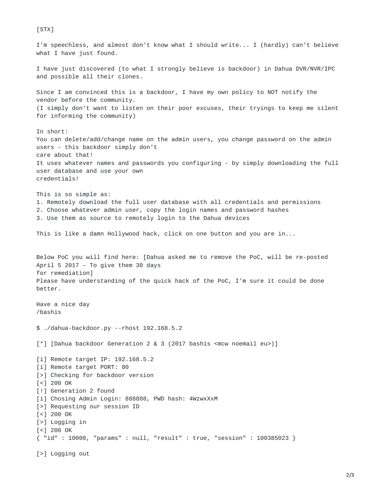[STX] I'm speechless, and almost don't know what I should write... I (hardly) can't believe what I have just found. I have just discovered (to what I strongly believe is backdoor) in Dahua DVR/NVR/IPC and possible all their clones. Since I am convinced this is a backdoor, I have my own policy to NOT notify the vendor before the community. (I simply don't want to listen on their poor excuses, their tryings to keep me silent for informing the community) In short: You can delete/add/change name on the admin users, you change password on the admin users - this backdoor simply don't care about that! It uses whatever names and passwords you configuring - by simply downloading the full user database and use your own credentials! This is so simple as: 1. Remotely download the full user database with all credentials and permissions 2. Choose whatever admin user, copy the login names and password hashes 3. Use them as source to remotely login to the Dahua devices This is like a damn Hollywood hack, click on one button and you are in... Below PoC you will find here: [Dahua asked me to remove the PoC, will be re-posted April 5 2017 – To give them 30 days for remediation] Please have understanding of the quick hack of the PoC, I'm sure it could be done better. Have a nice day /bashis \$ ./dahua-backdoor.py --rhost 192.168.5.2 [\*] [Dahua backdoor Generation 2 & 3 (2017 bashis <mcw noemail eu>)] [i] Remote target IP: 192.168.5.2 [i] Remote target PORT: 80 [>] Checking for backdoor version  $\lceil$  <  $\rceil$  200 OK [!] Generation 2 found [i] Chosing Admin Login: 888888, PWD hash: 4WzwxXxM [>] Requesting our session ID  $\lceil$  <  $\rceil$  200 OK [>] Logging in [<] 200 OK { "id" : 10000, "params" : null, "result" : true, "session" : 100385023 } [>] Logging out